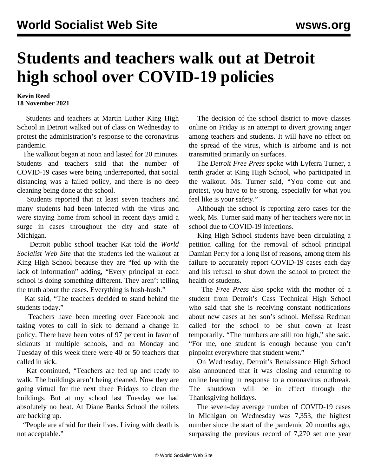## **Students and teachers walk out at Detroit high school over COVID-19 policies**

**Kevin Reed 18 November 2021**

 Students and teachers at Martin Luther King High School in Detroit walked out of class on Wednesday to protest the administration's response to the coronavirus pandemic.

 The walkout began at noon and lasted for 20 minutes. Students and teachers said that the number of COVID-19 cases were being underreported, that social distancing was a failed policy, and there is no deep cleaning being done at the school.

 Students reported that at least seven teachers and many students had been infected with the virus and were staying home from school in recent days amid a surge in cases throughout the city and state of Michigan.

 Detroit public school teacher Kat told the *World Socialist Web Site* that the students led the walkout at King High School because they are "fed up with the lack of information" adding, "Every principal at each school is doing something different. They aren't telling the truth about the cases. Everything is hush-hush."

 Kat said, "The teachers decided to stand behind the students today."

 Teachers have been meeting over Facebook and taking votes to call in sick to demand a change in policy. There have been votes of 97 percent in favor of sickouts at multiple schools, and on Monday and Tuesday of this week there were 40 or 50 teachers that called in sick.

 Kat continued, "Teachers are fed up and ready to walk. The buildings aren't being cleaned. Now they are going virtual for the next three Fridays to clean the buildings. But at my school last Tuesday we had absolutely no heat. At Diane Banks School the toilets are backing up.

 "People are afraid for their lives. Living with death is not acceptable."

 The decision of the school district to move classes online on Friday is an attempt to divert growing anger among teachers and students. It will have no effect on the spread of the virus, which is airborne and is not transmitted primarily on surfaces.

 The *Detroit Free Press* spoke with Lyferra Turner, a tenth grader at King High School, who participated in the walkout. Ms. Turner said, "You come out and protest, you have to be strong, especially for what you feel like is your safety."

 Although the school is reporting zero cases for the week, Ms. Turner said many of her teachers were not in school due to COVID-19 infections.

 King High School students have been circulating a petition calling for the removal of school principal Damian Perry for a long list of reasons, among them his failure to accurately report COVID-19 cases each day and his refusal to shut down the school to protect the health of students.

 The *Free Press* also spoke with the mother of a student from Detroit's Cass Technical High School who said that she is receiving constant notifications about new cases at her son's school. Melissa Redman called for the school to be shut down at least temporarily. "The numbers are still too high," she said. "For me, one student is enough because you can't pinpoint everywhere that student went."

 On Wednesday, Detroit's Renaissance High School also announced that it was closing and returning to online learning in response to a coronavirus outbreak. The shutdown will be in effect through the Thanksgiving holidays.

 The seven-day average number of COVID-19 cases in Michigan on Wednesday was 7,353, the highest number since the start of the pandemic 20 months ago, surpassing the previous record of 7,270 set one year